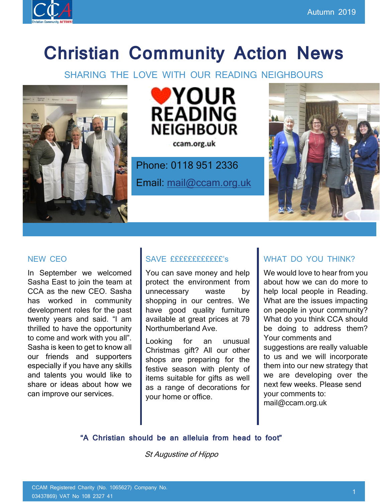

# **Christian Community Action News**

SHARING THE LOVE WITH OUR READING NEIGHBOURS





ccam.org.uk

Phone: 0118 951 2336

Email: [mail@ccam.org.uk](mailto:mail@ccam.org.uk)



### NEW CEO

In September we welcomed Sasha East to join the team at CCA as the new CEO. Sasha has worked in community development roles for the past twenty years and said. "I am thrilled to have the opportunity to come and work with you all". Sasha is keen to get to know all our friends and supporters especially if you have any skills and talents you would like to share or ideas about how we can improve our services.

### SAVE ffffffffffff's

You can save money and help protect the environment from unnecessary waste by shopping in our centres. We have good quality furniture available at great prices at 79 Northumberland Ave.

Looking for an unusual Christmas gift? All our other shops are preparing for the festive season with plenty of items suitable for gifts as well as a range of decorations for your home or office.

### WHAT DO YOU THINK?

We would love to hear from you about how we can do more to help local people in Reading. What are the issues impacting on people in your community? What do you think CCA should be doing to address them? Your comments and suggestions are really valuable to us and we will incorporate them into our new strategy that we are developing over the next few weeks. Please send your comments to: mail@ccam.org.uk

**"A Christian should be an alleluia from head to foot"**

St Augustine of Hippo